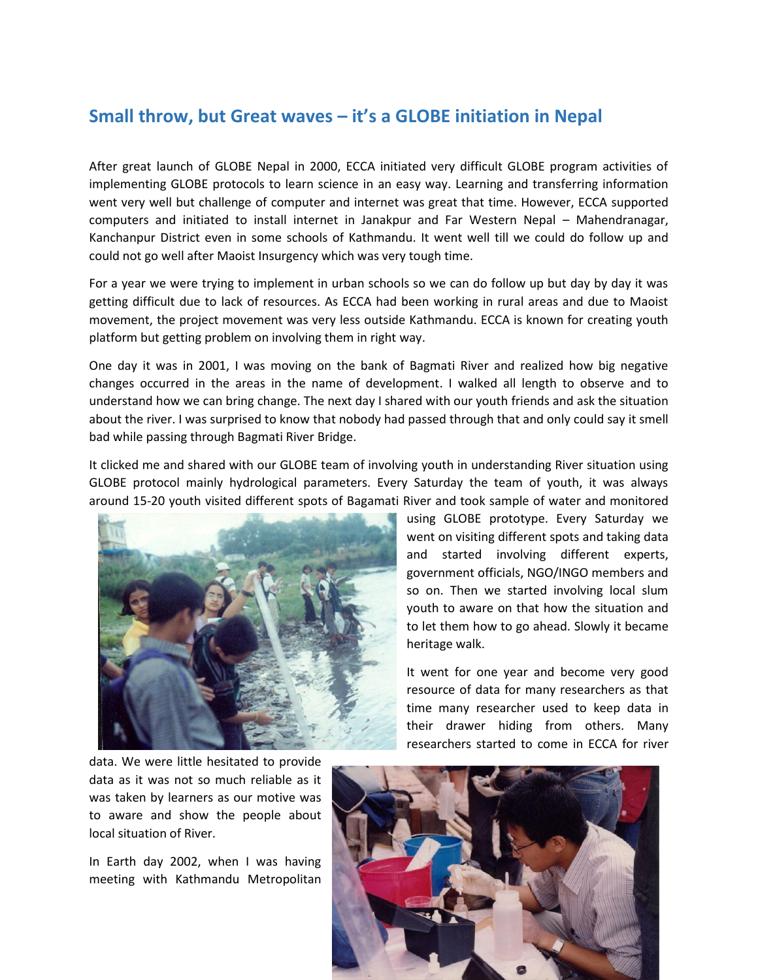## **Small throw, but Great waves – it's a GLOBE initiation in Nepal**

After great launch of GLOBE Nepal in 2000, ECCA initiated very difficult GLOBE program activities of implementing GLOBE protocols to learn science in an easy way. Learning and transferring information went very well but challenge of computer and internet was great that time. However, ECCA supported computers and initiated to install internet in Janakpur and Far Western Nepal – Mahendranagar, Kanchanpur District even in some schools of Kathmandu. It went well till we could do follow up and could not go well after Maoist Insurgency which was very tough time.

For a year we were trying to implement in urban schools so we can do follow up but day by day it was getting difficult due to lack of resources. As ECCA had been working in rural areas and due to Maoist movement, the project movement was very less outside Kathmandu. ECCA is known for creating youth platform but getting problem on involving them in right way.

One day it was in 2001, I was moving on the bank of Bagmati River and realized how big negative changes occurred in the areas in the name of development. I walked all length to observe and to understand how we can bring change. The next day I shared with our youth friends and ask the situation about the river. I was surprised to know that nobody had passed through that and only could say it smell bad while passing through Bagmati River Bridge.

It clicked me and shared with our GLOBE team of involving youth in understanding River situation using GLOBE protocol mainly hydrological parameters. Every Saturday the team of youth, it was always around 15-20 youth visited different spots of Bagamati River and took sample of water and monitored



using GLOBE prototype. Every Saturday we went on visiting different spots and taking data and started involving different experts, government officials, NGO/INGO members and so on. Then we started involving local slum youth to aware on that how the situation and to let them how to go ahead. Slowly it became heritage walk.

It went for one year and become very good resource of data for many researchers as that time many researcher used to keep data in their drawer hiding from others. Many researchers started to come in ECCA for river

data. We were little hesitated to provide data as it was not so much reliable as it was taken by learners as our motive was to aware and show the people about local situation of River.

In Earth day 2002, when I was having meeting with Kathmandu Metropolitan

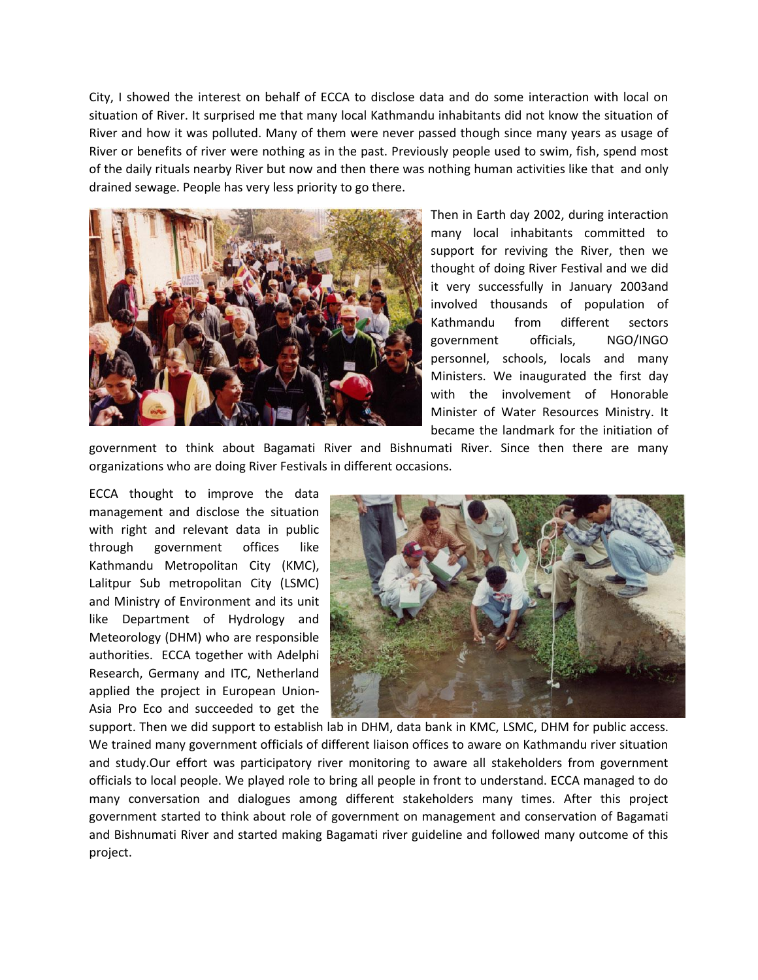City, I showed the interest on behalf of ECCA to disclose data and do some interaction with local on situation of River. It surprised me that many local Kathmandu inhabitants did not know the situation of River and how it was polluted. Many of them were never passed though since many years as usage of River or benefits of river were nothing as in the past. Previously people used to swim, fish, spend most of the daily rituals nearby River but now and then there was nothing human activities like that and only drained sewage. People has very less priority to go there.



Then in Earth day 2002, during interaction many local inhabitants committed to support for reviving the River, then we thought of doing River Festival and we did it very successfully in January 2003and involved thousands of population of Kathmandu from different sectors government officials, NGO/INGO personnel, schools, locals and many Ministers. We inaugurated the first day with the involvement of Honorable Minister of Water Resources Ministry. It became the landmark for the initiation of

government to think about Bagamati River and Bishnumati River. Since then there are many organizations who are doing River Festivals in different occasions.

ECCA thought to improve the data management and disclose the situation with right and relevant data in public through government offices like Kathmandu Metropolitan City (KMC), Lalitpur Sub metropolitan City (LSMC) and Ministry of Environment and its unit like Department of Hydrology and Meteorology (DHM) who are responsible authorities. ECCA together with Adelphi Research, Germany and ITC, Netherland applied the project in European Union-Asia Pro Eco and succeeded to get the



support. Then we did support to establish lab in DHM, data bank in KMC, LSMC, DHM for public access. We trained many government officials of different liaison offices to aware on Kathmandu river situation and study.Our effort was participatory river monitoring to aware all stakeholders from government officials to local people. We played role to bring all people in front to understand. ECCA managed to do many conversation and dialogues among different stakeholders many times. After this project government started to think about role of government on management and conservation of Bagamati and Bishnumati River and started making Bagamati river guideline and followed many outcome of this project.